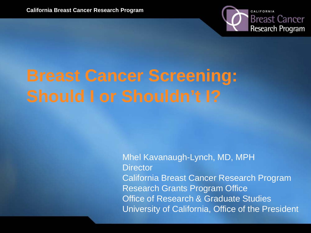

# **Breast Cancer Screening:**

Mhel Kavanaugh-Lynch, MD, MPH **Director** California Breast Cancer Research Program Research Grants Program Office **Office of Research & Graduate Studies** University of California, Office of the President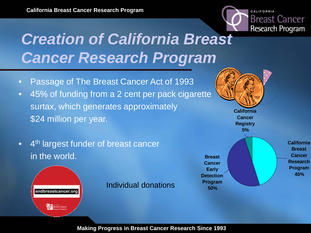

### *Creation of California Breast Cancer Research Program*

- Passage of The Breast Cancer Act of 1993
- 45% of funding from a 2 cent per pack cigarette surtax, which generates approximately \$24 million per year.
- 4<sup>th</sup> largest funder of breast cancer in the world.



Individual donations

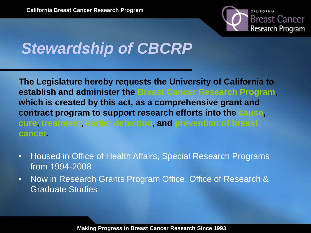

### *Stewardship of CBCRP*

**The Legislature hereby requests the University of California to establish and administer the Breast Cancer Research Program, which is created by this act, as a comprehensive grant and contract program to support research efforts into the cause, cure, treatment, earlier detection, and prevention of breast cancer.**

- Housed in Office of Health Affairs, Special Research Programs from 1994-2008
- Now in Research Grants Program Office, Office of Research & Graduate Studies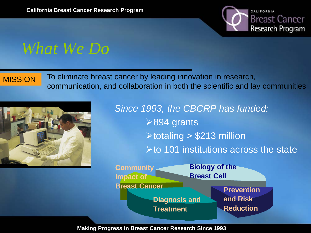

#### *What We Do*

MISSION To eliminate breast cancer by leading innovation in research, communication, and collaboration in both the scientific and lay communities



*Since 1993, the CBCRP has funded:* **≻894 grants**  $\triangleright$  totaling  $\triangleright$  \$213 million  $\triangleright$  to 101 institutions across the state

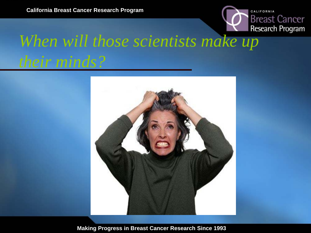

## *When will those scientists make up their minds?*

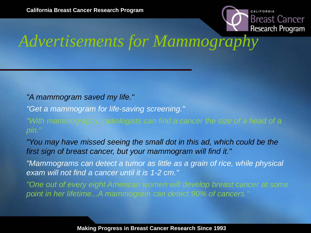

### *Advertisements for Mammography*

*"A mammogram saved my life."*

*"Get a mammogram for life-saving screening."*

*"With mammography, radiologists can find a cancer the size of a head of a pin."*

*"You may have missed seeing the small dot in this ad, which could be the first sign of breast cancer, but your mammogram will find it."*

*"Mammograms can detect a tumor as little as a grain of rice, while physical exam will not find a cancer until it is 1-2 cm."*

*"One out of every eight American women will develop breast cancer at some point in her lifetime...A mammogram can detect 90% of cancers."*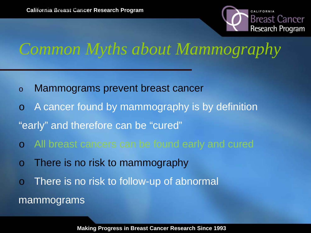

### *Common Myths about Mammography*

- o Mammograms prevent breast cancer
- A cancer found by mammography is by definition
- "early" and therefore can be "cured"
- All breast cancers can be found early and cured
- There is no risk to mammography
- There is no risk to follow-up of abnormal

#### mammograms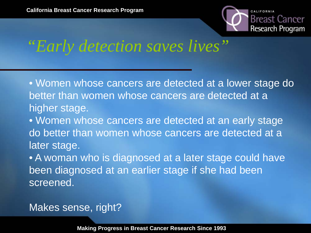

*"Early detection saves lives"*

• Women whose cancers are detected at a lower stage do better than women whose cancers are detected at a higher stage.

• Women whose cancers are detected at an early stage do better than women whose cancers are detected at a later stage.

• A woman who is diagnosed at a later stage could have been diagnosed at an earlier stage if she had been screened.

#### Makes sense, right?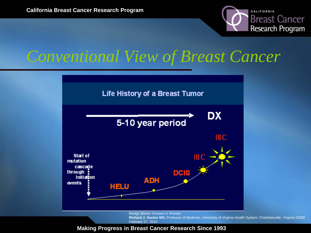

#### *Conventional View of Breast Cancer*



Benign Breast Disease in Women

**Richard J. Santen MD,** Professor of Medicine, University of Virginia Health System, Charlottesville, Virginia 22908 February 27, 2010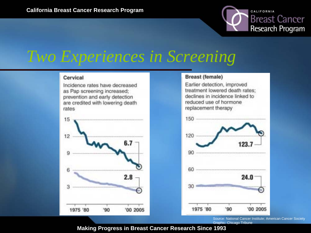Cervical

#### *Two Experiences in Screening*



Incidence rates have decreased

as Pap screening increased;

prevention and early detection

#### **Breast (female)**

Earlier detection, improved treatment lowered death rates; declines in incidence linked to reduced use of hormone replacement therapy



Source: National Cancer Institute; American Cancer Society Graphic: Chicago Tribune

CALIFORNIA

**Breast Cancer** 

Research Program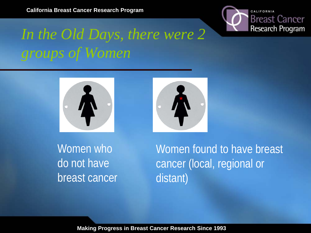

### *In the Old Days, there were 2 groups of Women*





Women who do not have breast cancer Women found to have breast cancer (local, regional or distant)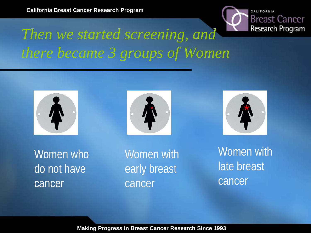

### *Then we started screening, and there became 3 groups of Women*







Women who do not have cancer

Women with early breast cancer

Women with late breast cancer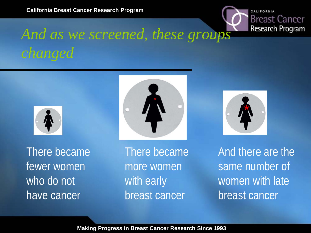#### CALIFORNIA **Breast Cancer Research Program**

### *And as we screened, these groups changed*



There became fewer women who do not have cancer

There became more women with early breast cancer



And there are the same number of women with late breast cancer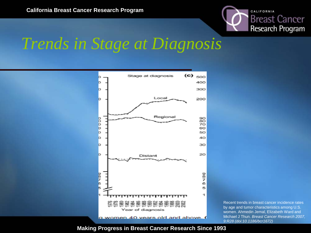

#### *Trends in Stage at Diagnosis*



Recent trends in breast cancer incidence rates by age and tumor characteristics among U.S. women. Ahmedin Jemal, Elizabeth Ward and Michael J Thun. *Breast Cancer Research 2007, 9:R28 (doi:10.1186/bcr1672)*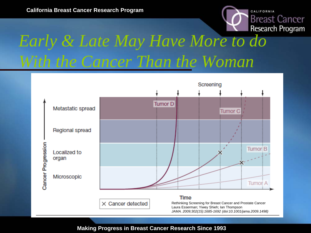

## *Early & Late May Have More to do With the Cancer Than the Woman*

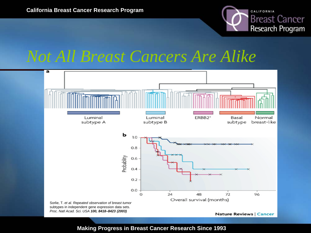

#### *Not All Breast Cancers Are Alike*

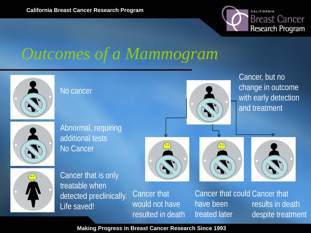

#### *Outcomes of a Mammogram*

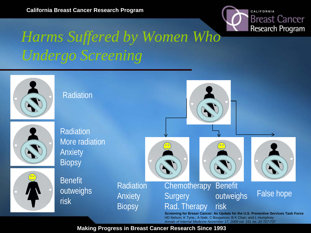

### *Harms Suffered by Women Who Undergo Screening*

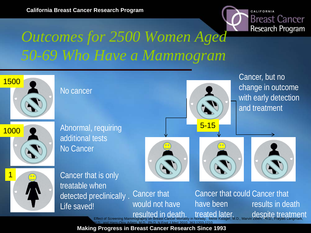

#### *Outcomes for 2500 Women Aged 50-69 Who Have a Mammogram*

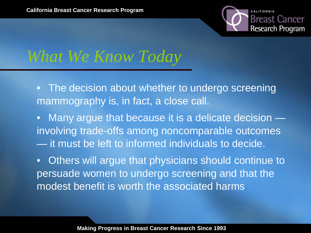

#### *What We Know Today*

- The decision about whether to undergo screening mammography is, in fact, a close call.
- Many argue that because it is a delicate decision involving trade-offs among noncomparable outcomes — it must be left to informed individuals to decide.
- Others will argue that physicians should continue to persuade women to undergo screening and that the modest benefit is worth the associated harms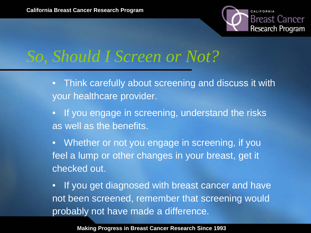

### *So, Should I Screen or Not?*

- Think carefully about screening and discuss it with your healthcare provider.
- If you engage in screening, understand the risks as well as the benefits.
- Whether or not you engage in screening, if you feel a lump or other changes in your breast, get it checked out.

• If you get diagnosed with breast cancer and have not been screened, remember that screening would probably not have made a difference.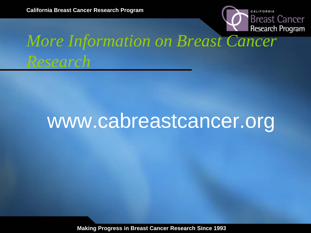

# *More Information on Breast Cancer*

# www.cabreastcancer.org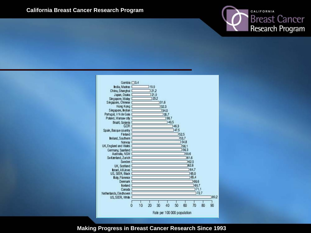